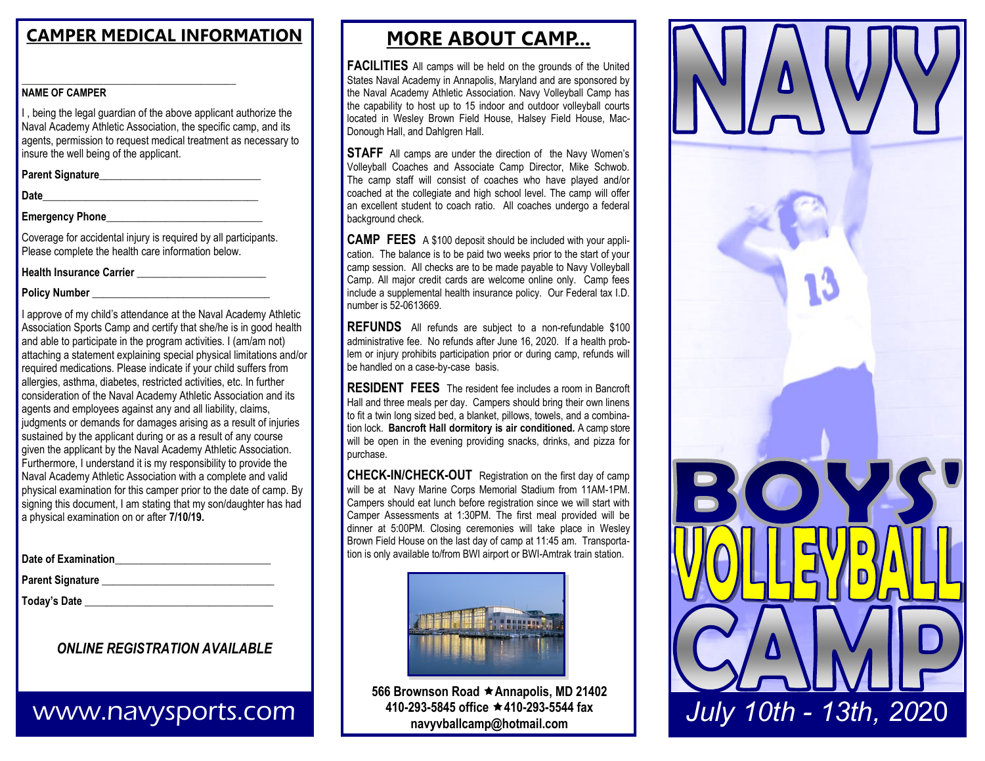### **CAMPER MEDICAL INFORMATION**

#### $\_$ **NAME OF CAMPER**

I , being the legal guardian of the above applicant authorize the Naval Academy Athletic Association, the specific camp, and its agents, permission to request medical treatment as necessary to insure the well being of the applicant.

**Parent Signature\_\_\_\_\_\_\_\_\_\_\_\_\_\_\_\_\_\_\_\_\_\_\_\_\_\_\_\_\_\_** 

**Date\_\_\_\_\_\_\_\_\_\_\_\_\_\_\_\_\_\_\_\_\_\_\_\_\_\_\_\_\_\_\_\_\_\_\_\_\_\_\_\_** 

**Emergency Phone** 

Coverage for accidental injury is required by all participants. Please complete the health care information below.

Health Insurance Carrier **Network** 

**Policy Number \_\_\_\_\_\_\_\_\_\_\_\_\_\_\_\_\_\_\_\_\_\_\_\_\_\_\_\_\_\_\_\_\_** 

I approve of my child's attendance at the Naval Academy Athletic Association Sports Camp and certify that she/he is in good health and able to participate in the program activities. I (am/am not) attaching a statement explaining special physical limitations and/or required medications. Please indicate if your child suffers from allergies, asthma, diabetes, restricted activities, etc. In further consideration of the Naval Academy Athletic Association and its agents and employees against any and all liability, claims, judgments or demands for damages arising as a result of injuries sustained by the applicant during or as a result of any course given the applicant by the Naval Academy Athletic Association. Furthermore, I understand it is my responsibility to provide the Naval Academy Athletic Association with a complete and valid physical examination for this camper prior to the date of camp. By signing this document, I am stating that my son/daughter has had a physical examination on or after **7/10/19.**

| Date of Examination         |  |
|-----------------------------|--|
| Parent Signature __________ |  |
| Today's Date __________     |  |

### *ONLINE REGISTRATION AVAILABLE*

# www.navysports.com

# **MORE ABOUT CAMP...**

**FACILITIES** All camps will be held on the grounds of the United States Naval Academy in Annapolis, Maryland and are sponsored by the Naval Academy Athletic Association. Navy Volleyball Camp has the capability to host up to 15 indoor and outdoor volleyball courts located in Wesley Brown Field House, Halsey Field House, Mac-Donough Hall, and Dahlgren Hall.

**STAFF** All camps are under the direction of the Navy Women's Volleyball Coaches and Associate Camp Director, Mike Schwob. The camp staff will consist of coaches who have played and/or coached at the collegiate and high school level. The camp will offer an excellent student to coach ratio. All coaches undergo a federal background check.

**CAMP FEES** A \$100 deposit should be included with your application. The balance is to be paid two weeks prior to the start of your camp session. All checks are to be made payable to Navy Volleyball Camp. All major credit cards are welcome online only. Camp fees include a supplemental health insurance policy. Our Federal tax I.D. number is 52-0613669.

**REFUNDS** All refunds are subject to a non-refundable \$100 administrative fee. No refunds after June 16, 2020. If a health problem or injury prohibits participation prior or during camp, refunds will be handled on a case-by-case basis.

**RESIDENT FEES** The resident fee includes a room in Bancroft Hall and three meals per day. Campers should bring their own linens to fit a twin long sized bed, a blanket, pillows, towels, and a combination lock. **Bancroft Hall dormitory is air conditioned.** A camp store will be open in the evening providing snacks, drinks, and pizza for purchase.

**CHECK-IN/CHECK-OUT** Registration on the first day of camp will be at Navy Marine Corps Memorial Stadium from 11AM-1PM. Campers should eat lunch before registration since we will start with Camper Assessments at 1:30PM. The first meal provided will be dinner at 5:00PM. Closing ceremonies will take place in Wesley Brown Field House on the last day of camp at 11:45 am. Transportation is only available to/from BWI airport or BWI-Amtrak train station.



**566 Brownson Road Annapolis, MD 21402 410-293-5845 office 410-293-5544 fax navyvballcamp@hotmail.com**